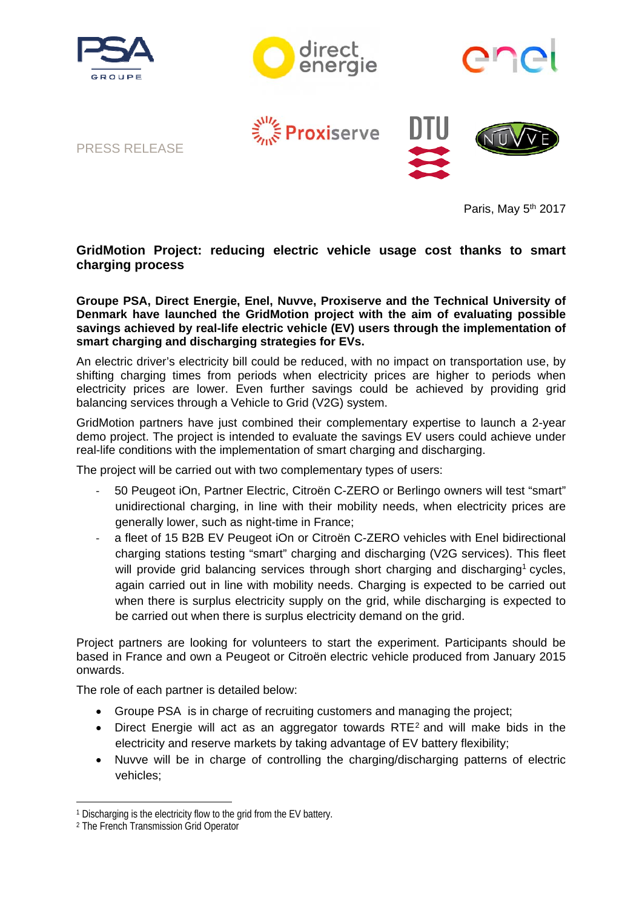







Proxiserve



Paris, May 5<sup>th</sup> 2017

# **GridMotion Project: reducing electric vehicle usage cost thanks to smart charging process**

**Groupe PSA, Direct Energie, Enel, Nuvve, Proxiserve and the Technical University of Denmark have launched the GridMotion project with the aim of evaluating possible savings achieved by real-life electric vehicle (EV) users through the implementation of smart charging and discharging strategies for EVs.**

An electric driver's electricity bill could be reduced, with no impact on transportation use, by shifting charging times from periods when electricity prices are higher to periods when electricity prices are lower. Even further savings could be achieved by providing grid balancing services through a Vehicle to Grid (V2G) system.

GridMotion partners have just combined their complementary expertise to launch a 2-year demo project. The project is intended to evaluate the savings EV users could achieve under real-life conditions with the implementation of smart charging and discharging.

The project will be carried out with two complementary types of users:

- ‐ 50 Peugeot iOn, Partner Electric, Citroën C-ZERO or Berlingo owners will test "smart" unidirectional charging, in line with their mobility needs, when electricity prices are generally lower, such as night-time in France;
- ‐ a fleet of 15 B2B EV Peugeot iOn or Citroën C-ZERO vehicles with Enel bidirectional charging stations testing "smart" charging and discharging (V2G services). This fleet will provide grid balancing services through short charging and discharging<sup>1</sup> cycles, again carried out in line with mobility needs. Charging is expected to be carried out when there is surplus electricity supply on the grid, while discharging is expected to be carried out when there is surplus electricity demand on the grid.

Project partners are looking for volunteers to start the experiment. Participants should be based in France and own a Peugeot or Citroën electric vehicle produced from January 2015 onwards.

The role of each partner is detailed below:

- Groupe PSA is in charge of recruiting customers and managing the project;
- $\bullet$  Direct Energie will act as an aggregator towards RTE<sup>2</sup> and will make bids in the electricity and reserve markets by taking advantage of EV battery flexibility;
- Nuvve will be in charge of controlling the charging/discharging patterns of electric vehicles;

<u>.</u>

<sup>1</sup> Discharging is the electricity flow to the grid from the EV battery.

<sup>2</sup> The French Transmission Grid Operator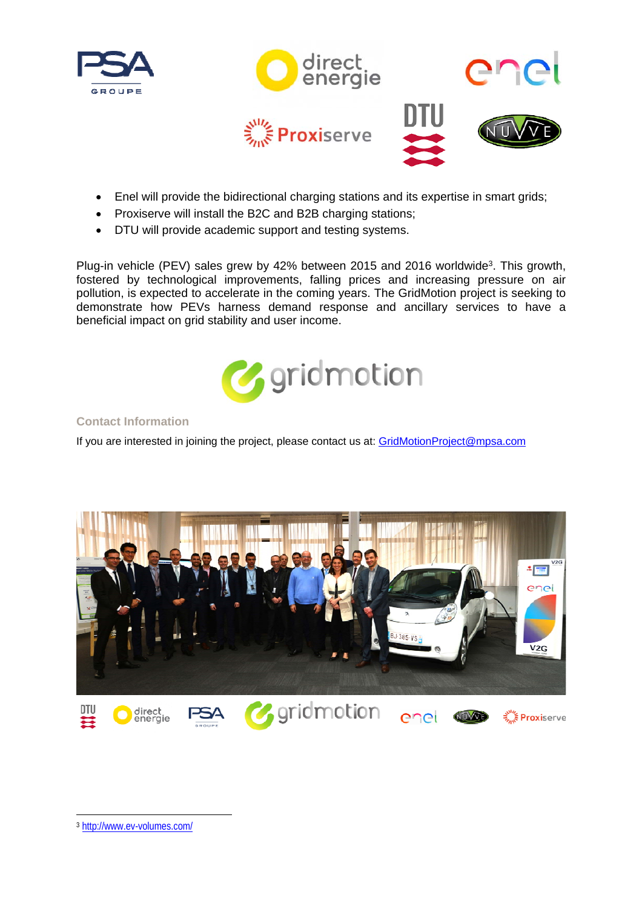









- Enel will provide the bidirectional charging stations and its expertise in smart grids;
- Proxiserve will install the B2C and B2B charging stations;
- DTU will provide academic support and testing systems.

Plug-in vehicle (PEV) sales grew by 42% between 2015 and 2016 worldwide<sup>3</sup>. This growth, fostered by technological improvements, falling prices and increasing pressure on air pollution, is expected to accelerate in the coming years. The GridMotion project is seeking to demonstrate how PEVs harness demand response and ancillary services to have a beneficial impact on grid stability and user income.



## **Contact Information**

If you are interested in joining the project, please contact us at: GridMotionProject@mpsa.com



-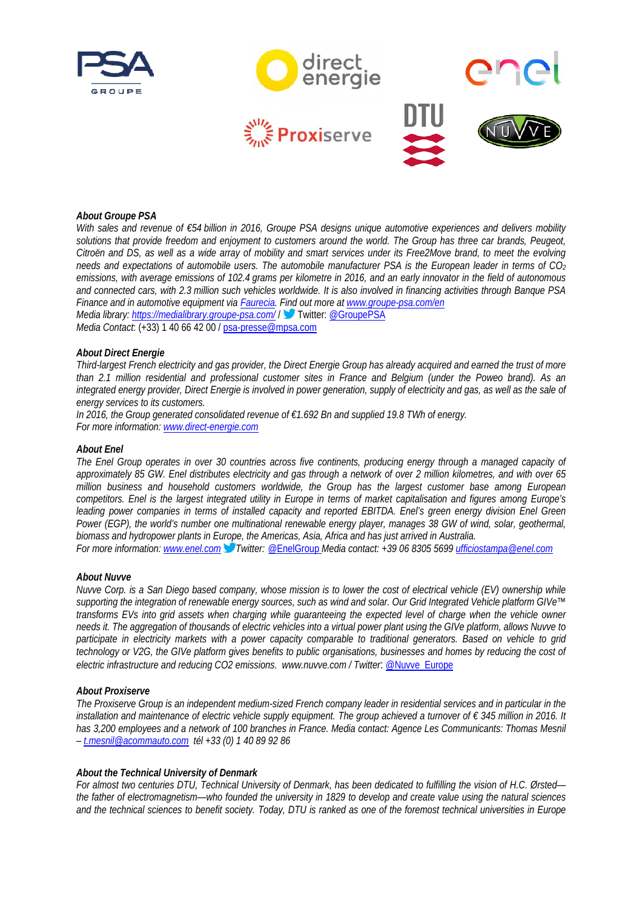











## *About Groupe PSA*

*With sales and revenue of €54 billion in 2016, Groupe PSA designs unique automotive experiences and delivers mobility* solutions that provide freedom and enjoyment to customers around the world. The Group has three car brands, Peugeot, *Citroën and DS, as well as a wide array of mobility and smart services under its Free2Move brand, to meet the evolving needs and expectations of automobile users. The automobile manufacturer PSA is the European leader in terms of CO2 emissions, with average emissions of 102.4 grams per kilometre in 2016, and an early innovator in the field of autonomous and connected cars, with 2.3 million such vehicles worldwide. It is also involved in financing activities through Banque PSA Finance and in automotive equipment via Faurecia. Find out more at www.groupe-psa.com/en Media library: https://medialibrary.groupe-psa.com/* / Twitter: @GroupePSA

*Media Contact*: (+33) 1 40 66 42 00 / psa-presse@mpsa.com

#### *About Direct Energie*

*Third-largest French electricity and gas provider, the Direct Energie Group has already acquired and earned the trust of more than 2.1 million residential and professional customer sites in France and Belgium (under the Poweo brand). As an integrated energy provider, Direct Energie is involved in power generation, supply of electricity and gas, as well as the sale of energy services to its customers.* 

*In 2016, the Group generated consolidated revenue of €1.692 Bn and supplied 19.8 TWh of energy. For more information: www.direct-energie.com* 

#### *About Enel*

*The Enel Group operates in over 30 countries across five continents, producing energy through a managed capacity of approximately 85 GW. Enel distributes electricity and gas through a network of over 2 million kilometres, and with over 65 million business and household customers worldwide, the Group has the largest customer base among European competitors. Enel is the largest integrated utility in Europe in terms of market capitalisation and figures among Europe's*  leading power companies in terms of installed capacity and reported EBITDA. Enel's green energy division Enel Green *Power (EGP), the world's number one multinational renewable energy player, manages 38 GW of wind, solar, geothermal, biomass and hydropower plants in Europe, the Americas, Asia, Africa and has just arrived in Australia.* 

*For more information: www.enel.com Twitter:* @EnelGroup *Media contact: +39 06 8305 5699 ufficiostampa@enel.com* 

#### *About Nuvve*

*Nuvve Corp. is a San Diego based company, whose mission is to lower the cost of electrical vehicle (EV) ownership while supporting the integration of renewable energy sources, such as wind and solar. Our Grid Integrated Vehicle platform GIVe™ transforms EVs into grid assets when charging while guaranteeing the expected level of charge when the vehicle owner needs it. The aggregation of thousands of electric vehicles into a virtual power plant using the GIVe platform, allows Nuvve to participate in electricity markets with a power capacity comparable to traditional generators. Based on vehicle to grid technology or V2G, the GIVe platform gives benefits to public organisations, businesses and homes by reducing the cost of electric infrastructure and reducing CO2 emissions. www.nuvve.com / Twitter*: @Nuvve\_Europe

#### *About Proxiserve*

*The Proxiserve Group is an independent medium-sized French company leader in residential services and in particular in the installation and maintenance of electric vehicle supply equipment. The group achieved a turnover of € 345 million in 2016. It*  has 3,200 employees and a network of 100 branches in France. Media contact: Agence Les Communicants: Thomas Mesnil *– t.mesnil@acommauto.com tél +33 (0) 1 40 89 92 86* 

### *About the Technical University of Denmark*

*For almost two centuries DTU, Technical University of Denmark, has been dedicated to fulfilling the vision of H.C. Ørsted the father of electromagnetism—who founded the university in 1829 to develop and create value using the natural sciences and the technical sciences to benefit society. Today, DTU is ranked as one of the foremost technical universities in Europe*